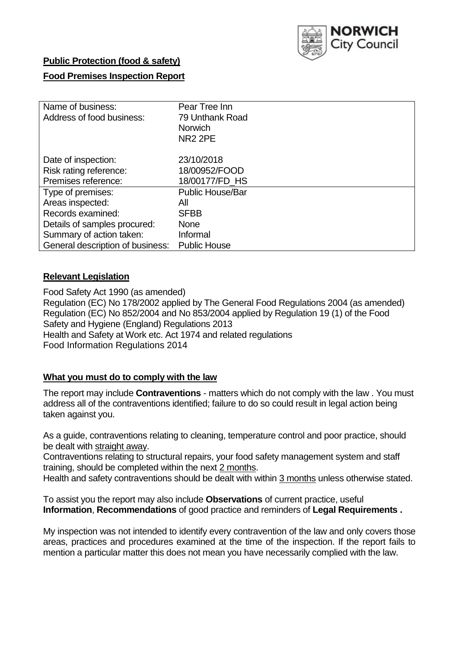

## **Public Protection (food & safety)**

## **Food Premises Inspection Report**

| Name of business:<br>Address of food business: | Pear Tree Inn<br>79 Unthank Road<br><b>Norwich</b><br>NR <sub>2</sub> 2PE |
|------------------------------------------------|---------------------------------------------------------------------------|
| Date of inspection:                            | 23/10/2018                                                                |
| Risk rating reference:                         | 18/00952/FOOD                                                             |
| Premises reference:                            | 18/00177/FD HS                                                            |
| Type of premises:                              | <b>Public House/Bar</b>                                                   |
| Areas inspected:                               | All                                                                       |
| Records examined:                              | <b>SFBB</b>                                                               |
| Details of samples procured:                   | <b>None</b>                                                               |
| Summary of action taken:                       | Informal                                                                  |
| General description of business:               | <b>Public House</b>                                                       |

### **Relevant Legislation**

Food Safety Act 1990 (as amended) Regulation (EC) No 178/2002 applied by The General Food Regulations 2004 (as amended) Regulation (EC) No 852/2004 and No 853/2004 applied by Regulation 19 (1) of the Food Safety and Hygiene (England) Regulations 2013 Health and Safety at Work etc. Act 1974 and related regulations Food Information Regulations 2014

## **What you must do to comply with the law**

The report may include **Contraventions** - matters which do not comply with the law . You must address all of the contraventions identified; failure to do so could result in legal action being taken against you.

As a guide, contraventions relating to cleaning, temperature control and poor practice, should be dealt with straight away.

Contraventions relating to structural repairs, your food safety management system and staff training, should be completed within the next 2 months.

Health and safety contraventions should be dealt with within 3 months unless otherwise stated.

To assist you the report may also include **Observations** of current practice, useful **Information**, **Recommendations** of good practice and reminders of **Legal Requirements .**

My inspection was not intended to identify every contravention of the law and only covers those areas, practices and procedures examined at the time of the inspection. If the report fails to mention a particular matter this does not mean you have necessarily complied with the law.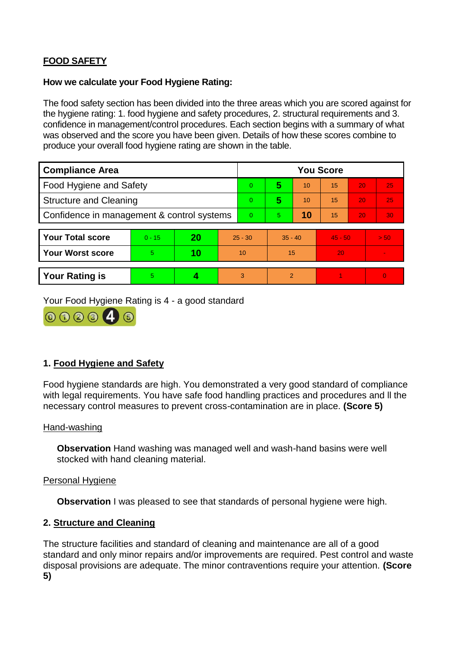# **FOOD SAFETY**

### **How we calculate your Food Hygiene Rating:**

The food safety section has been divided into the three areas which you are scored against for the hygiene rating: 1. food hygiene and safety procedures, 2. structural requirements and 3. confidence in management/control procedures. Each section begins with a summary of what was observed and the score you have been given. Details of how these scores combine to produce your overall food hygiene rating are shown in the table.

| <b>Compliance Area</b>                     |          |    |           | <b>You Score</b> |                |    |           |    |                |  |  |
|--------------------------------------------|----------|----|-----------|------------------|----------------|----|-----------|----|----------------|--|--|
| Food Hygiene and Safety                    |          |    |           | $\overline{0}$   | 5              | 10 | 15        | 20 | 25             |  |  |
| <b>Structure and Cleaning</b>              |          |    |           | $\Omega$         | 5              | 10 | 15        | 20 | 25             |  |  |
| Confidence in management & control systems |          |    | $\Omega$  | 5                | 10             | 15 | 20        | 30 |                |  |  |
|                                            |          |    |           |                  |                |    |           |    |                |  |  |
| <b>Your Total score</b>                    | $0 - 15$ | 20 | $25 - 30$ |                  | $35 - 40$      |    | $45 - 50$ |    | > 50           |  |  |
| <b>Your Worst score</b>                    | 5        | 10 | 10        |                  | 15             |    | 20        |    | $\blacksquare$ |  |  |
|                                            |          |    |           |                  |                |    |           |    |                |  |  |
| <b>Your Rating is</b>                      | 5        |    |           | 3                | $\overline{2}$ |    |           |    | $\Omega$       |  |  |

Your Food Hygiene Rating is 4 - a good standard



## **1. Food Hygiene and Safety**

Food hygiene standards are high. You demonstrated a very good standard of compliance with legal requirements. You have safe food handling practices and procedures and ll the necessary control measures to prevent cross-contamination are in place. **(Score 5)**

### Hand-washing

**Observation** Hand washing was managed well and wash-hand basins were well stocked with hand cleaning material.

### Personal Hygiene

**Observation** I was pleased to see that standards of personal hygiene were high.

## **2. Structure and Cleaning**

The structure facilities and standard of cleaning and maintenance are all of a good standard and only minor repairs and/or improvements are required. Pest control and waste disposal provisions are adequate. The minor contraventions require your attention. **(Score 5)**